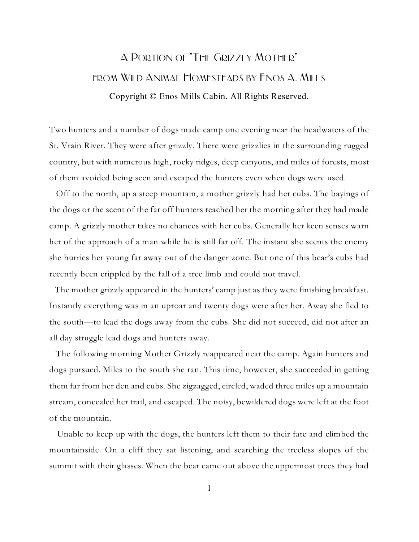## A Portion of "The Grizzly Mother" from *Wild Animal Homesteads* by Enos A. Mills Copyright © Enos Mills Cabin. All Rights Reserved.

Two hunters and a number of dogs made camp one evening near the headwaters of the St. Vrain River. They were after grizzly. There were grizzlies in the surrounding rugged country, but with numerous high, rocky ridges, deep canyons, and miles of forests, most of them avoided being seen and escaped the hunters even when dogs were used.

Off to the north, up a steep mountain, a mother grizzly had her cubs. The bayings of the dogs or the scent of the far off hunters reached her the morning after they had made camp. A grizzly mother takes no chances with her cubs. Generally her keen senses warn her of the approach of a man while he is still far off. The instant she scents the enemy she hurries her young far away out of the danger zone. But one of this bear's cubs had recently been crippled by the fall of a tree limb and could not travel.

The mother grizzly appeared in the hunters' camp just as they were finishing breakfast. Instantly everything was in an uproar and twenty dogs were after her. Away she fled to the south—to lead the dogs away from the cubs. She did not succeed, did not after an all day struggle lead dogs and hunters away.

The following morning Mother Grizzly reappeared near the camp. Again hunters and dogs pursued. Miles to the south she ran. This time, however, she succeeded in getting them far from her den and cubs. She zigzagged, circled, waded three miles up a mountain stream, concealed her trail, and escaped. The noisy, bewildered dogs were left at the foot of the mountain.

Unable to keep up with the dogs, the hunters left them to their fate and climbed the mountainside. On a cliff they sat listening, and searching the treeless slopes of the summit with their glasses. When the bear came out above the uppermost trees they had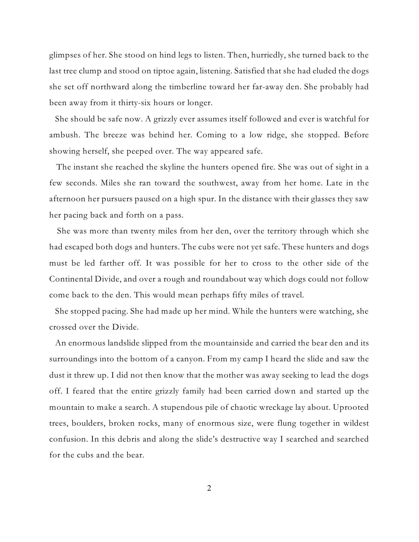glimpses of her. She stood on hind legs to listen. Then, hurriedly, she turned back to the last tree clump and stood on tiptoe again, listening. Satisfied that she had eluded the dogs she set off northward along the timberline toward her far-away den. She probably had been away from it thirty-six hours or longer.

She should be safe now. A grizzly ever assumes itself followed and ever is watchful for ambush. The breeze was behind her. Coming to a low ridge, she stopped. Before showing herself, she peeped over. The way appeared safe.

The instant she reached the skyline the hunters opened fire. She was out of sight in a few seconds. Miles she ran toward the southwest, away from her home. Late in the afternoon her pursuers paused on a high spur. In the distance with their glasses they saw her pacing back and forth on a pass.

She was more than twenty miles from her den, over the territory through which she had escaped both dogs and hunters. The cubs were not yet safe. These hunters and dogs must be led farther off. It was possible for her to cross to the other side of the Continental Divide, and over a rough and roundabout way which dogs could not follow come back to the den. This would mean perhaps fifty miles of travel.

She stopped pacing. She had made up her mind. While the hunters were watching, she crossed over the Divide.

An enormous landslide slipped from the mountainside and carried the bear den and its surroundings into the bottom of a canyon. From my camp I heard the slide and saw the dust it threw up. I did not then know that the mother was away seeking to lead the dogs off. I feared that the entire grizzly family had been carried down and started up the mountain to make a search. A stupendous pile of chaotic wreckage lay about. Uprooted trees, boulders, broken rocks, many of enormous size, were flung together in wildest confusion. In this debris and along the slide's destructive way I searched and searched for the cubs and the bear.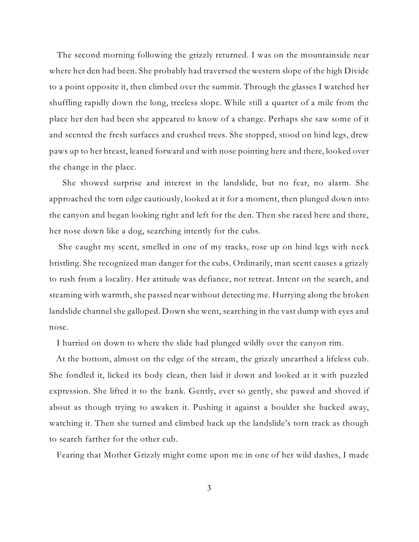The second morning following the grizzly returned. I was on the mountainside near where her den had been. She probably had traversed the western slope of the high Divide to a point opposite it, then climbed over the summit. Through the glasses I watched her shuffling rapidly down the long, treeless slope. While still a quarter of a mile from the place her den had been she appeared to know of a change. Perhaps she saw some of it and scented the fresh surfaces and crushed trees. She stopped, stood on hind legs, drew paws up to her breast, leaned forward and with nose pointing here and there, looked over the change in the place.

She showed surprise and interest in the landslide, but no fear, no alarm. She approached the torn edge cautiously, looked at it for a moment, then plunged down into the canyon and began looking right and left for the den. Then she raced here and there, her nose down like a dog, searching intently for the cubs.

She caught my scent, smelled in one of my tracks, rose up on hind legs with neck bristling. She recognized man danger for the cubs. Ordinarily, man scent causes a grizzly to rush from a locality. Her attitude was defiance, not retreat. Intent on the search, and steaming with warmth, she passed near without detecting me. Hurrying along the broken landslide channel she galloped. Down she went, searching in the vast dump with eyes and nose.

I hurried on down to where the slide had plunged wildly over the canyon rim.

At the bottom, almost on the edge of the stream, the grizzly unearthed a lifeless cub. She fondled it, licked its body clean, then laid it down and looked at it with puzzled expression. She lifted it to the bank. Gently, ever so gently, she pawed and shoved if about as though trying to awaken it. Pushing it against a boulder she backed away, watching it. Then she turned and climbed back up the landslide's torn track as though to search farther for the other cub.

Fearing that Mother Grizzly might come upon me in one of her wild dashes, I made